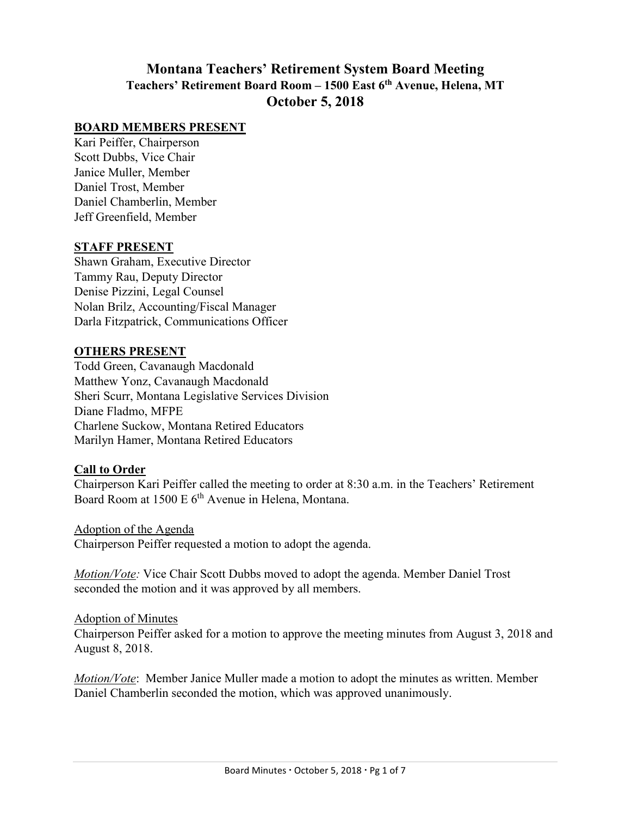# **Montana Teachers' Retirement System Board Meeting Teachers' Retirement Board Room – 1500 East 6th Avenue, Helena, MT October 5, 2018**

### **BOARD MEMBERS PRESENT**

Kari Peiffer, Chairperson Scott Dubbs, Vice Chair Janice Muller, Member Daniel Trost, Member Daniel Chamberlin, Member Jeff Greenfield, Member

#### **STAFF PRESENT**

Shawn Graham, Executive Director Tammy Rau, Deputy Director Denise Pizzini, Legal Counsel Nolan Brilz, Accounting/Fiscal Manager Darla Fitzpatrick, Communications Officer

#### **OTHERS PRESENT**

Todd Green, Cavanaugh Macdonald Matthew Yonz, Cavanaugh Macdonald Sheri Scurr, Montana Legislative Services Division Diane Fladmo, MFPE Charlene Suckow, Montana Retired Educators Marilyn Hamer, Montana Retired Educators

#### **Call to Order**

Chairperson Kari Peiffer called the meeting to order at 8:30 a.m. in the Teachers' Retirement Board Room at 1500 E 6<sup>th</sup> Avenue in Helena, Montana.

Adoption of the Agenda Chairperson Peiffer requested a motion to adopt the agenda.

*Motion/Vote:* Vice Chair Scott Dubbs moved to adopt the agenda. Member Daniel Trost seconded the motion and it was approved by all members.

#### Adoption of Minutes

Chairperson Peiffer asked for a motion to approve the meeting minutes from August 3, 2018 and August 8, 2018.

*Motion/Vote*: Member Janice Muller made a motion to adopt the minutes as written. Member Daniel Chamberlin seconded the motion, which was approved unanimously.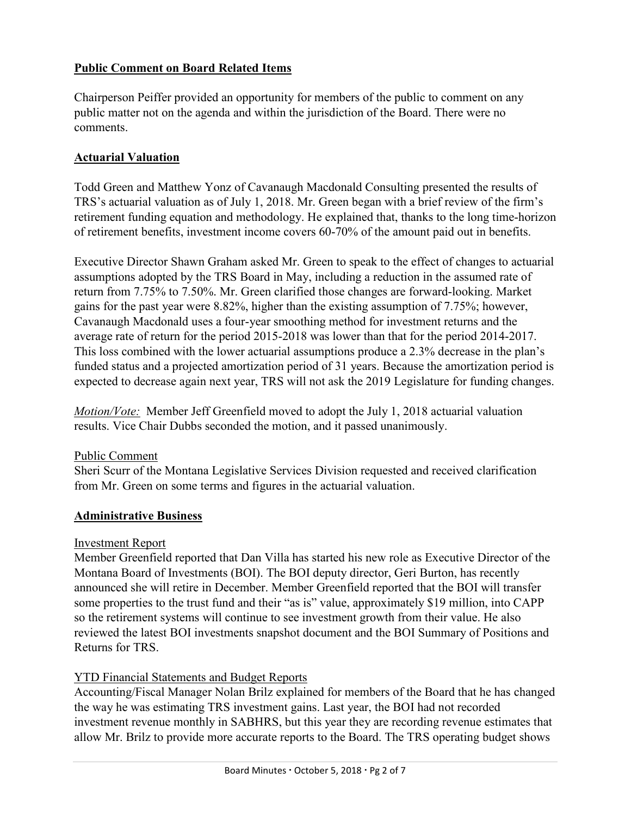## **Public Comment on Board Related Items**

Chairperson Peiffer provided an opportunity for members of the public to comment on any public matter not on the agenda and within the jurisdiction of the Board. There were no comments.

### **Actuarial Valuation**

Todd Green and Matthew Yonz of Cavanaugh Macdonald Consulting presented the results of TRS's actuarial valuation as of July 1, 2018. Mr. Green began with a brief review of the firm's retirement funding equation and methodology. He explained that, thanks to the long time-horizon of retirement benefits, investment income covers 60-70% of the amount paid out in benefits.

Executive Director Shawn Graham asked Mr. Green to speak to the effect of changes to actuarial assumptions adopted by the TRS Board in May, including a reduction in the assumed rate of return from 7.75% to 7.50%. Mr. Green clarified those changes are forward-looking. Market gains for the past year were 8.82%, higher than the existing assumption of 7.75%; however, Cavanaugh Macdonald uses a four-year smoothing method for investment returns and the average rate of return for the period 2015-2018 was lower than that for the period 2014-2017. This loss combined with the lower actuarial assumptions produce a 2.3% decrease in the plan's funded status and a projected amortization period of 31 years. Because the amortization period is expected to decrease again next year, TRS will not ask the 2019 Legislature for funding changes.

*Motion/Vote:* Member Jeff Greenfield moved to adopt the July 1, 2018 actuarial valuation results. Vice Chair Dubbs seconded the motion, and it passed unanimously.

#### Public Comment

Sheri Scurr of the Montana Legislative Services Division requested and received clarification from Mr. Green on some terms and figures in the actuarial valuation.

### **Administrative Business**

#### Investment Report

Member Greenfield reported that Dan Villa has started his new role as Executive Director of the Montana Board of Investments (BOI). The BOI deputy director, Geri Burton, has recently announced she will retire in December. Member Greenfield reported that the BOI will transfer some properties to the trust fund and their "as is" value, approximately \$19 million, into CAPP so the retirement systems will continue to see investment growth from their value. He also reviewed the latest BOI investments snapshot document and the BOI Summary of Positions and Returns for TRS.

### YTD Financial Statements and Budget Reports

Accounting/Fiscal Manager Nolan Brilz explained for members of the Board that he has changed the way he was estimating TRS investment gains. Last year, the BOI had not recorded investment revenue monthly in SABHRS, but this year they are recording revenue estimates that allow Mr. Brilz to provide more accurate reports to the Board. The TRS operating budget shows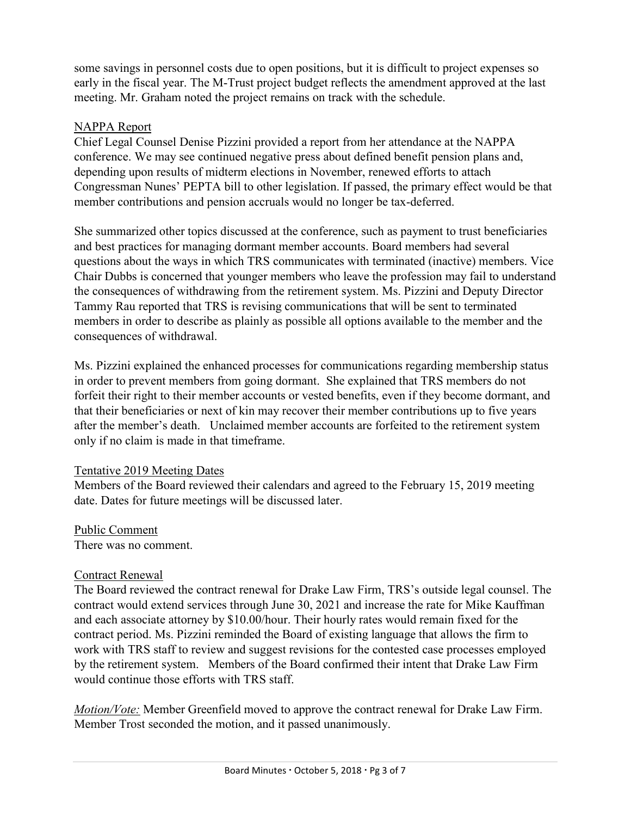some savings in personnel costs due to open positions, but it is difficult to project expenses so early in the fiscal year. The M-Trust project budget reflects the amendment approved at the last meeting. Mr. Graham noted the project remains on track with the schedule.

### NAPPA Report

Chief Legal Counsel Denise Pizzini provided a report from her attendance at the NAPPA conference. We may see continued negative press about defined benefit pension plans and, depending upon results of midterm elections in November, renewed efforts to attach Congressman Nunes' PEPTA bill to other legislation. If passed, the primary effect would be that member contributions and pension accruals would no longer be tax-deferred.

She summarized other topics discussed at the conference, such as payment to trust beneficiaries and best practices for managing dormant member accounts. Board members had several questions about the ways in which TRS communicates with terminated (inactive) members. Vice Chair Dubbs is concerned that younger members who leave the profession may fail to understand the consequences of withdrawing from the retirement system. Ms. Pizzini and Deputy Director Tammy Rau reported that TRS is revising communications that will be sent to terminated members in order to describe as plainly as possible all options available to the member and the consequences of withdrawal.

Ms. Pizzini explained the enhanced processes for communications regarding membership status in order to prevent members from going dormant. She explained that TRS members do not forfeit their right to their member accounts or vested benefits, even if they become dormant, and that their beneficiaries or next of kin may recover their member contributions up to five years after the member's death. Unclaimed member accounts are forfeited to the retirement system only if no claim is made in that timeframe.

### Tentative 2019 Meeting Dates

Members of the Board reviewed their calendars and agreed to the February 15, 2019 meeting date. Dates for future meetings will be discussed later.

## Public Comment

There was no comment.

### Contract Renewal

The Board reviewed the contract renewal for Drake Law Firm, TRS's outside legal counsel. The contract would extend services through June 30, 2021 and increase the rate for Mike Kauffman and each associate attorney by \$10.00/hour. Their hourly rates would remain fixed for the contract period. Ms. Pizzini reminded the Board of existing language that allows the firm to work with TRS staff to review and suggest revisions for the contested case processes employed by the retirement system. Members of the Board confirmed their intent that Drake Law Firm would continue those efforts with TRS staff.

*Motion/Vote:* Member Greenfield moved to approve the contract renewal for Drake Law Firm. Member Trost seconded the motion, and it passed unanimously.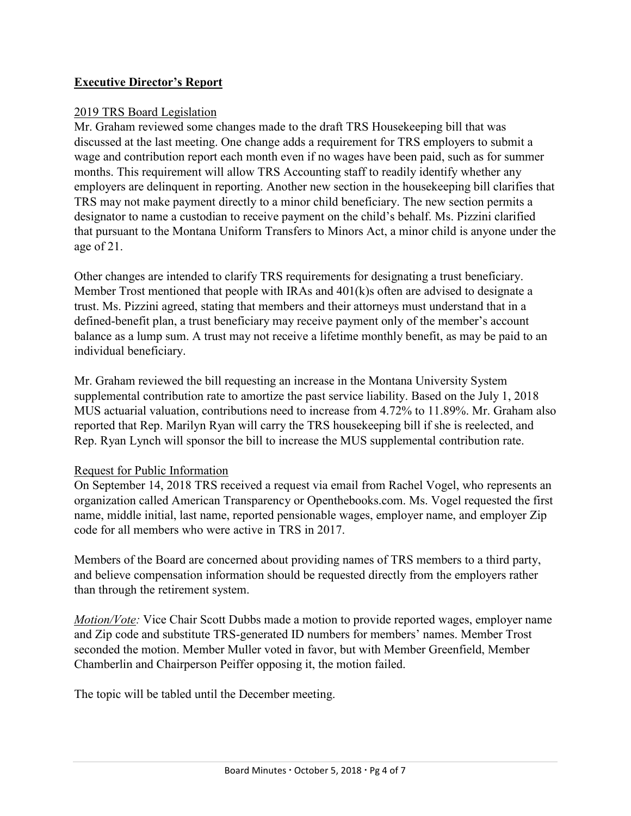## **Executive Director's Report**

### 2019 TRS Board Legislation

Mr. Graham reviewed some changes made to the draft TRS Housekeeping bill that was discussed at the last meeting. One change adds a requirement for TRS employers to submit a wage and contribution report each month even if no wages have been paid, such as for summer months. This requirement will allow TRS Accounting staff to readily identify whether any employers are delinquent in reporting. Another new section in the housekeeping bill clarifies that TRS may not make payment directly to a minor child beneficiary. The new section permits a designator to name a custodian to receive payment on the child's behalf. Ms. Pizzini clarified that pursuant to the Montana Uniform Transfers to Minors Act, a minor child is anyone under the age of 21.

Other changes are intended to clarify TRS requirements for designating a trust beneficiary. Member Trost mentioned that people with IRAs and 401(k)s often are advised to designate a trust. Ms. Pizzini agreed, stating that members and their attorneys must understand that in a defined-benefit plan, a trust beneficiary may receive payment only of the member's account balance as a lump sum. A trust may not receive a lifetime monthly benefit, as may be paid to an individual beneficiary.

Mr. Graham reviewed the bill requesting an increase in the Montana University System supplemental contribution rate to amortize the past service liability. Based on the July 1, 2018 MUS actuarial valuation, contributions need to increase from 4.72% to 11.89%. Mr. Graham also reported that Rep. Marilyn Ryan will carry the TRS housekeeping bill if she is reelected, and Rep. Ryan Lynch will sponsor the bill to increase the MUS supplemental contribution rate.

#### Request for Public Information

On September 14, 2018 TRS received a request via email from Rachel Vogel, who represents an organization called American Transparency or Openthebooks.com. Ms. Vogel requested the first name, middle initial, last name, reported pensionable wages, employer name, and employer Zip code for all members who were active in TRS in 2017.

Members of the Board are concerned about providing names of TRS members to a third party, and believe compensation information should be requested directly from the employers rather than through the retirement system.

*Motion/Vote:* Vice Chair Scott Dubbs made a motion to provide reported wages, employer name and Zip code and substitute TRS-generated ID numbers for members' names. Member Trost seconded the motion. Member Muller voted in favor, but with Member Greenfield, Member Chamberlin and Chairperson Peiffer opposing it, the motion failed.

The topic will be tabled until the December meeting.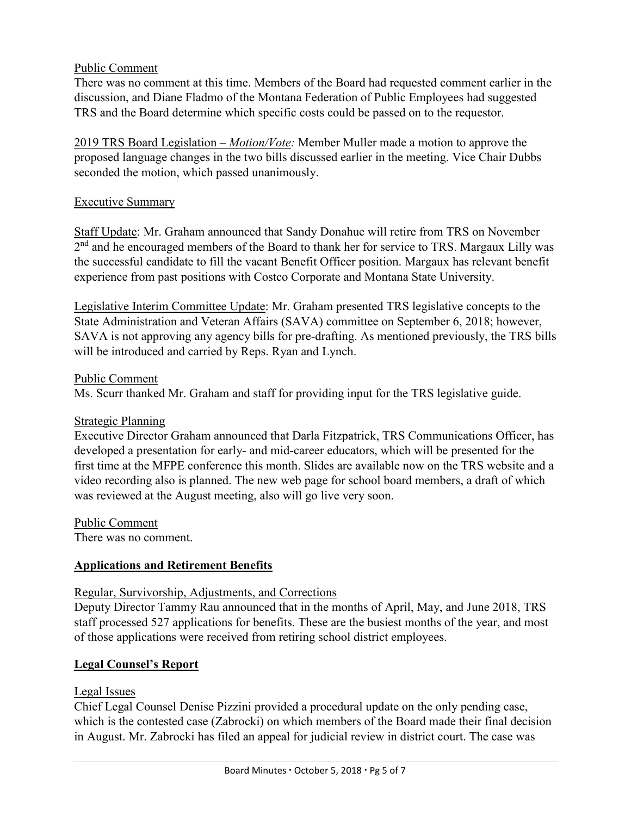### Public Comment

There was no comment at this time. Members of the Board had requested comment earlier in the discussion, and Diane Fladmo of the Montana Federation of Public Employees had suggested TRS and the Board determine which specific costs could be passed on to the requestor.

2019 TRS Board Legislation – *Motion/Vote:* Member Muller made a motion to approve the proposed language changes in the two bills discussed earlier in the meeting. Vice Chair Dubbs seconded the motion, which passed unanimously.

### Executive Summary

Staff Update: Mr. Graham announced that Sandy Donahue will retire from TRS on November 2<sup>nd</sup> and he encouraged members of the Board to thank her for service to TRS. Margaux Lilly was the successful candidate to fill the vacant Benefit Officer position. Margaux has relevant benefit experience from past positions with Costco Corporate and Montana State University.

Legislative Interim Committee Update: Mr. Graham presented TRS legislative concepts to the State Administration and Veteran Affairs (SAVA) committee on September 6, 2018; however, SAVA is not approving any agency bills for pre-drafting. As mentioned previously, the TRS bills will be introduced and carried by Reps. Ryan and Lynch.

### Public Comment

Ms. Scurr thanked Mr. Graham and staff for providing input for the TRS legislative guide.

### Strategic Planning

Executive Director Graham announced that Darla Fitzpatrick, TRS Communications Officer, has developed a presentation for early- and mid-career educators, which will be presented for the first time at the MFPE conference this month. Slides are available now on the TRS website and a video recording also is planned. The new web page for school board members, a draft of which was reviewed at the August meeting, also will go live very soon.

Public Comment

There was no comment.

### **Applications and Retirement Benefits**

### Regular, Survivorship, Adjustments, and Corrections

Deputy Director Tammy Rau announced that in the months of April, May, and June 2018, TRS staff processed 527 applications for benefits. These are the busiest months of the year, and most of those applications were received from retiring school district employees.

### **Legal Counsel's Report**

### Legal Issues

Chief Legal Counsel Denise Pizzini provided a procedural update on the only pending case, which is the contested case (Zabrocki) on which members of the Board made their final decision in August. Mr. Zabrocki has filed an appeal for judicial review in district court. The case was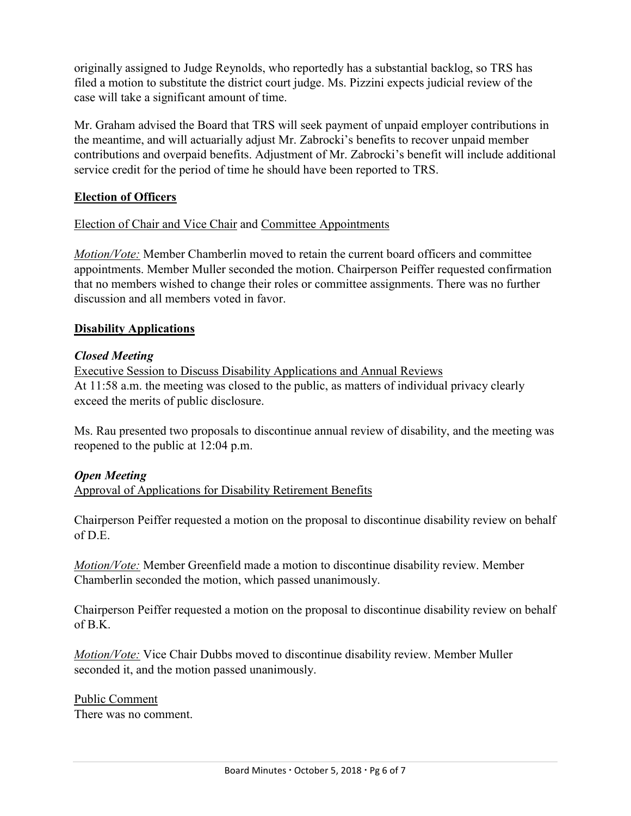originally assigned to Judge Reynolds, who reportedly has a substantial backlog, so TRS has filed a motion to substitute the district court judge. Ms. Pizzini expects judicial review of the case will take a significant amount of time.

Mr. Graham advised the Board that TRS will seek payment of unpaid employer contributions in the meantime, and will actuarially adjust Mr. Zabrocki's benefits to recover unpaid member contributions and overpaid benefits. Adjustment of Mr. Zabrocki's benefit will include additional service credit for the period of time he should have been reported to TRS.

## **Election of Officers**

## Election of Chair and Vice Chair and Committee Appointments

*Motion/Vote:* Member Chamberlin moved to retain the current board officers and committee appointments. Member Muller seconded the motion. Chairperson Peiffer requested confirmation that no members wished to change their roles or committee assignments. There was no further discussion and all members voted in favor.

### **Disability Applications**

### *Closed Meeting*

Executive Session to Discuss Disability Applications and Annual Reviews At 11:58 a.m. the meeting was closed to the public, as matters of individual privacy clearly exceed the merits of public disclosure.

Ms. Rau presented two proposals to discontinue annual review of disability, and the meeting was reopened to the public at 12:04 p.m.

### *Open Meeting*

Approval of Applications for Disability Retirement Benefits

Chairperson Peiffer requested a motion on the proposal to discontinue disability review on behalf  $of D. E.$ 

*Motion/Vote:* Member Greenfield made a motion to discontinue disability review. Member Chamberlin seconded the motion, which passed unanimously.

Chairperson Peiffer requested a motion on the proposal to discontinue disability review on behalf of B.K.

*Motion/Vote:* Vice Chair Dubbs moved to discontinue disability review. Member Muller seconded it, and the motion passed unanimously.

Public Comment There was no comment.